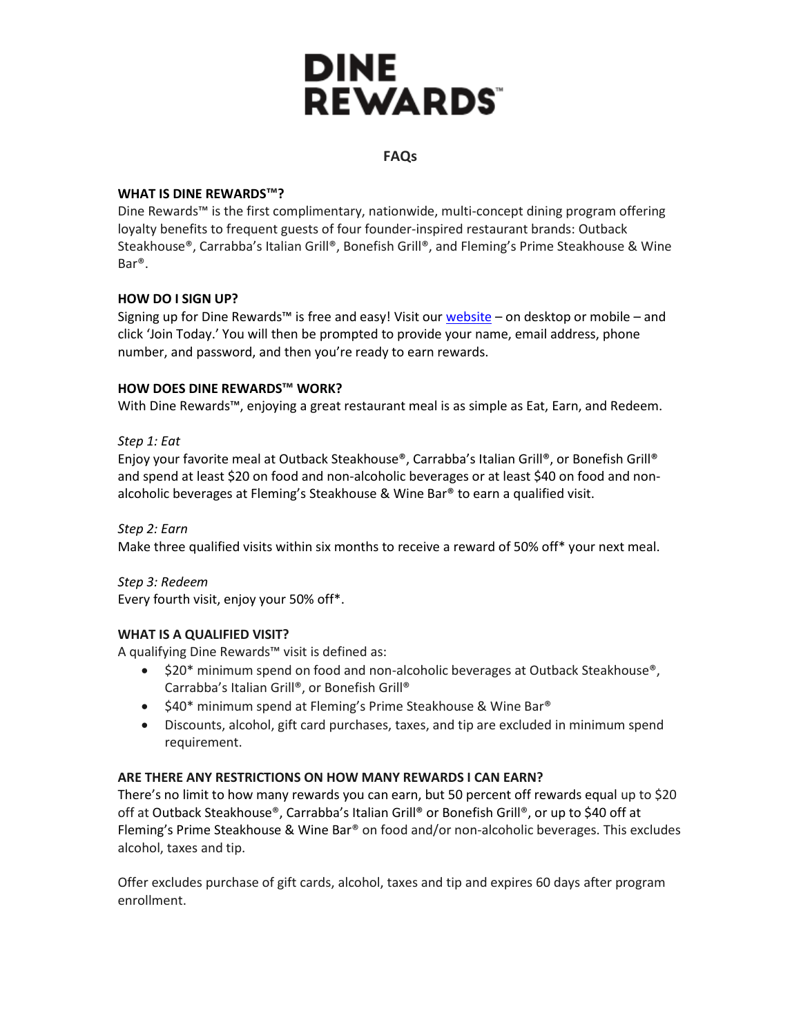# **DINE REWARDS**

## **FAQs**

## **WHAT IS DINE REWARDS™?**

Dine Rewards™ is the first complimentary, nationwide, multi-concept dining program offering loyalty benefits to frequent guests of four founder-inspired restaurant brands: Outback Steakhouse®, Carrabba's Italian Grill®, Bonefish Grill®, and Fleming's Prime Steakhouse & Wine Bar®.

# **HOW DO I SIGN UP?**

Signing up for Dine Rewards™ is free and easy! Visit our  $website – on desktop or mobile – and$ </u> click 'Join Today.' You will then be prompted to provide your name, email address, phone number, and password, and then you're ready to earn rewards.

# **HOW DOES DINE REWARDS™ WORK?**

With Dine Rewards™, enjoying a great restaurant meal is as simple as Eat, Earn, and Redeem.

# *Step 1: Eat*

Enjoy your favorite meal at Outback Steakhouse®, Carrabba's Italian Grill®, or Bonefish Grill® and spend at least \$20 on food and non-alcoholic beverages or at least \$40 on food and nonalcoholic beverages at Fleming's Steakhouse & Wine Bar® to earn a qualified visit.

*Step 2: Earn* Make three qualified visits within six months to receive a reward of 50% off\* your next meal.

*Step 3: Redeem* Every fourth visit, enjoy your 50% off\*.

## **WHAT IS A QUALIFIED VISIT?**

A qualifying Dine Rewards™ visit is defined as:

- \$20\* minimum spend on food and non-alcoholic beverages at Outback Steakhouse<sup>®</sup>, Carrabba's Italian Grill®, or Bonefish Grill®
- \$40\* minimum spend at Fleming's Prime Steakhouse & Wine Bar<sup>®</sup>
- Discounts, alcohol, gift card purchases, taxes, and tip are excluded in minimum spend requirement.

## **ARE THERE ANY RESTRICTIONS ON HOW MANY REWARDS I CAN EARN?**

There's no limit to how many rewards you can earn, but 50 percent off rewards equal up to \$20 off at Outback Steakhouse®, Carrabba's Italian Grill® or Bonefish Grill®, or up to \$40 off at Fleming's Prime Steakhouse & Wine Bar® on food and/or non-alcoholic beverages. This excludes alcohol, taxes and tip.

Offer excludes purchase of gift cards, alcohol, taxes and tip and expires 60 days after program enrollment.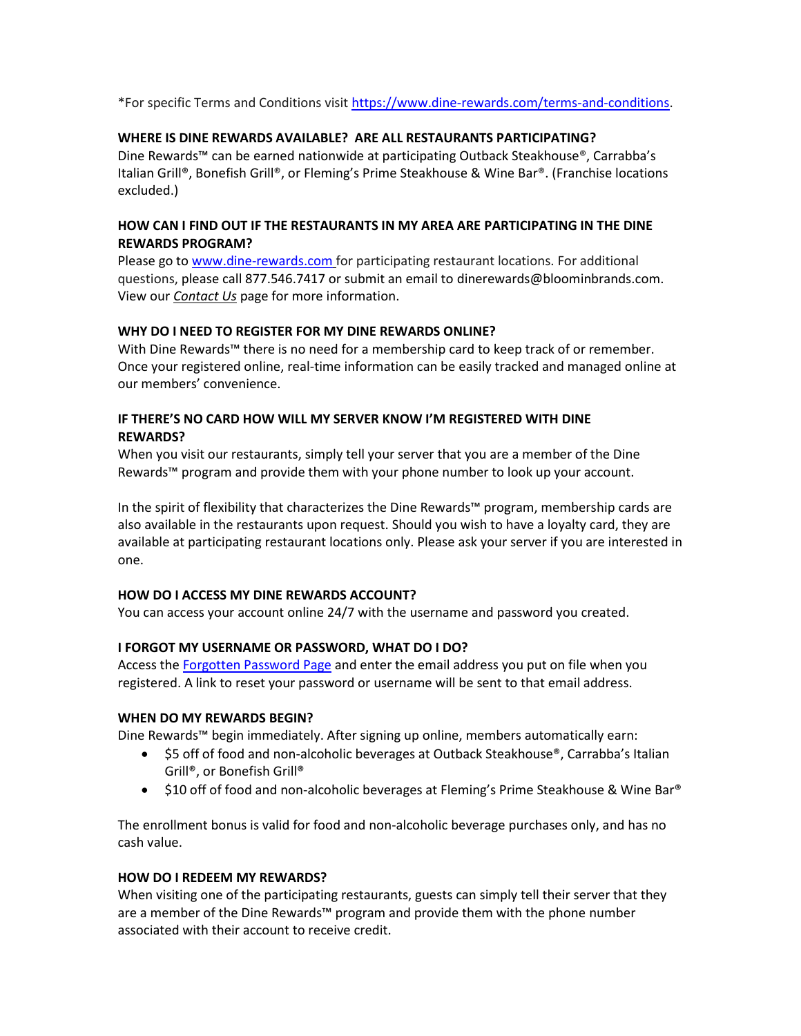\*For specific Terms and Conditions visit [https://www.dine-rewards.com/terms-and-conditions.](https://www.dine-rewards.com/terms-and-conditions)

## **WHERE IS DINE REWARDS AVAILABLE? ARE ALL RESTAURANTS PARTICIPATING?**

Dine Rewards™ can be earned nationwide at participating Outback Steakhouse®, Carrabba's Italian Grill®, Bonefish Grill®, or Fleming's Prime Steakhouse & Wine Bar®. (Franchise locations excluded.)

## **HOW CAN I FIND OUT IF THE RESTAURANTS IN MY AREA ARE PARTICIPATING IN THE DINE REWARDS PROGRAM?**

Please go t[o www.dine-rewards.com](http://www.dine-rewards.com/) for participating restaurant locations. For additional questions, please call 877.546.7417 or submit an email to dinerewards@bloominbrands.com. View our *Contact Us* page for more information.

#### **WHY DO I NEED TO REGISTER FOR MY DINE REWARDS ONLINE?**

With Dine Rewards™ there is no need for a membership card to keep track of or remember. Once your registered online, real-time information can be easily tracked and managed online at our members' convenience.

# **IF THERE'S NO CARD HOW WILL MY SERVER KNOW I'M REGISTERED WITH DINE REWARDS?**

When you visit our restaurants, simply tell your server that you are a member of the Dine Rewards™ program and provide them with your phone number to look up your account.

In the spirit of flexibility that characterizes the Dine Rewards™ program, membership cards are also available in the restaurants upon request. Should you wish to have a loyalty card, they are available at participating restaurant locations only. Please ask your server if you are interested in one.

#### **HOW DO I ACCESS MY DINE REWARDS ACCOUNT?**

You can access your account online 24/7 with the username and password you created.

## **I FORGOT MY USERNAME OR PASSWORD, WHAT DO I DO?**

Access th[e Forgotten Password Page](http://www.dine-rewards.com/login/forgotpassword) and enter the email address you put on file when you registered. A link to reset your password or username will be sent to that email address.

#### **WHEN DO MY REWARDS BEGIN?**

Dine Rewards™ begin immediately. After signing up online, members automatically earn:

- \$5 off of food and non-alcoholic beverages at Outback Steakhouse®, Carrabba's Italian Grill®, or Bonefish Grill®
- \$10 off of food and non-alcoholic beverages at Fleming's Prime Steakhouse & Wine Bar®

The enrollment bonus is valid for food and non-alcoholic beverage purchases only, and has no cash value.

## **HOW DO I REDEEM MY REWARDS?**

When visiting one of the participating restaurants, guests can simply tell their server that they are a member of the Dine Rewards™ program and provide them with the phone number associated with their account to receive credit.